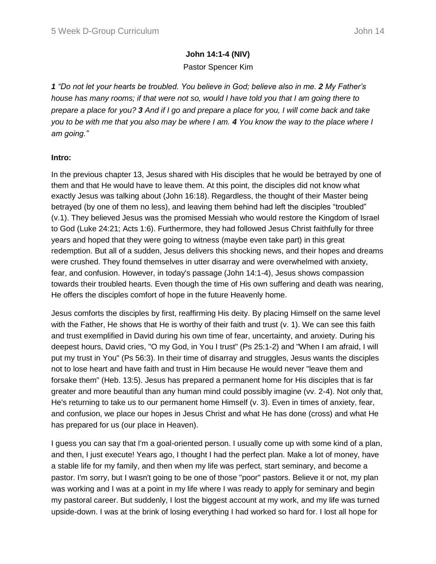# **John 14:1-4 (NIV)**

# Pastor Spencer Kim

*1 "Do not let your hearts be troubled. You believe in God; believe also in me. 2 My Father's house has many rooms; if that were not so, would I have told you that I am going there to prepare a place for you? 3 And if I go and prepare a place for you, I will come back and take you to be with me that you also may be where I am. 4 You know the way to the place where I am going."*

# **Intro:**

In the previous chapter 13, Jesus shared with His disciples that he would be betrayed by one of them and that He would have to leave them. At this point, the disciples did not know what exactly Jesus was talking about (John 16:18). Regardless, the thought of their Master being betrayed (by one of them no less), and leaving them behind had left the disciples "troubled" (v.1). They believed Jesus was the promised Messiah who would restore the Kingdom of Israel to God (Luke 24:21; Acts 1:6). Furthermore, they had followed Jesus Christ faithfully for three years and hoped that they were going to witness (maybe even take part) in this great redemption. But all of a sudden, Jesus delivers this shocking news, and their hopes and dreams were crushed. They found themselves in utter disarray and were overwhelmed with anxiety, fear, and confusion. However, in today's passage (John 14:1-4), Jesus shows compassion towards their troubled hearts. Even though the time of His own suffering and death was nearing, He offers the disciples comfort of hope in the future Heavenly home.

Jesus comforts the disciples by first, reaffirming His deity. By placing Himself on the same level with the Father, He shows that He is worthy of their faith and trust (v. 1). We can see this faith and trust exemplified in David during his own time of fear, uncertainty, and anxiety. During his deepest hours, David cries, "O my God, in You I trust" (Ps 25:1-2) and "When I am afraid, I will put my trust in You" (Ps 56:3). In their time of disarray and struggles, Jesus wants the disciples not to lose heart and have faith and trust in Him because He would never "leave them and forsake them" (Heb. 13:5). Jesus has prepared a permanent home for His disciples that is far greater and more beautiful than any human mind could possibly imagine (vv. 2-4). Not only that, He's returning to take us to our permanent home Himself (v. 3). Even in times of anxiety, fear, and confusion, we place our hopes in Jesus Christ and what He has done (cross) and what He has prepared for us (our place in Heaven).

I guess you can say that I'm a goal-oriented person. I usually come up with some kind of a plan, and then, I just execute! Years ago, I thought I had the perfect plan. Make a lot of money, have a stable life for my family, and then when my life was perfect, start seminary, and become a pastor. I'm sorry, but I wasn't going to be one of those "poor" pastors. Believe it or not, my plan was working and I was at a point in my life where I was ready to apply for seminary and begin my pastoral career. But suddenly, I lost the biggest account at my work, and my life was turned upside-down. I was at the brink of losing everything I had worked so hard for. I lost all hope for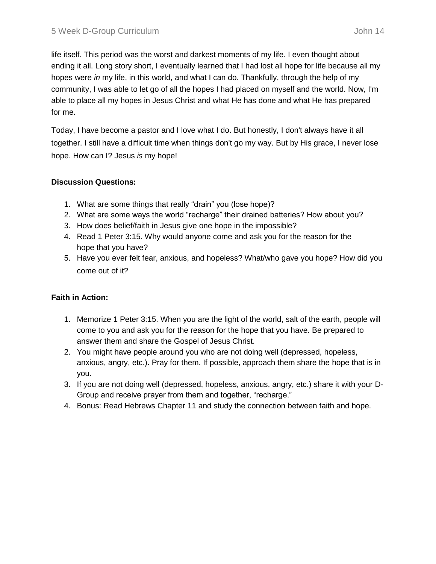life itself. This period was the worst and darkest moments of my life. I even thought about ending it all. Long story short, I eventually learned that I had lost all hope for life because all my hopes were *in* my life, in this world, and what I can do. Thankfully, through the help of my community, I was able to let go of all the hopes I had placed on myself and the world. Now, I'm able to place all my hopes in Jesus Christ and what He has done and what He has prepared for me.

Today, I have become a pastor and I love what I do. But honestly, I don't always have it all together. I still have a difficult time when things don't go my way. But by His grace, I never lose hope. How can I? Jesus *is* my hope!

## **Discussion Questions:**

- 1. What are some things that really "drain" you (lose hope)?
- 2. What are some ways the world "recharge" their drained batteries? How about you?
- 3. How does belief/faith in Jesus give one hope in the impossible?
- 4. Read 1 Peter 3:15. Why would anyone come and ask you for the reason for the hope that you have?
- 5. Have you ever felt fear, anxious, and hopeless? What/who gave you hope? How did you come out of it?

# **Faith in Action:**

- 1. Memorize 1 Peter 3:15. When you are the light of the world, salt of the earth, people will come to you and ask you for the reason for the hope that you have. Be prepared to answer them and share the Gospel of Jesus Christ.
- 2. You might have people around you who are not doing well (depressed, hopeless, anxious, angry, etc.). Pray for them. If possible, approach them share the hope that is in you.
- 3. If you are not doing well (depressed, hopeless, anxious, angry, etc.) share it with your D-Group and receive prayer from them and together, "recharge."
- 4. Bonus: Read Hebrews Chapter 11 and study the connection between faith and hope.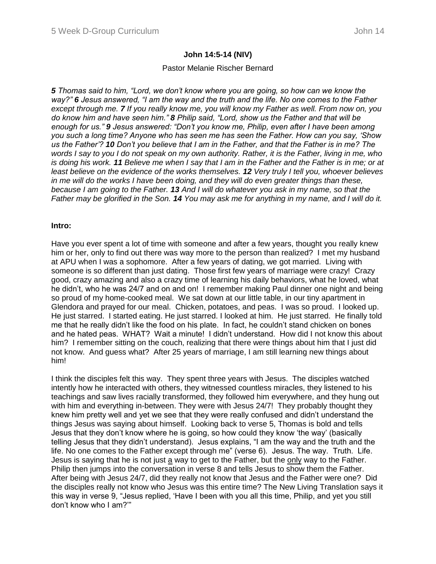### **John 14:5-14 (NIV)**

### Pastor Melanie Rischer Bernard

*5 Thomas said to him, "Lord, we don't know where you are going, so how can we know the way?" 6 Jesus answered, "I am the way and the truth and the life. No one comes to the Father except through me. 7 If you really know me, you will know my Father as well. From now on, you do know him and have seen him." 8 Philip said, "Lord, show us the Father and that will be enough for us." 9 Jesus answered: "Don't you know me, Philip, even after I have been among you such a long time? Anyone who has seen me has seen the Father. How can you say, 'Show us the Father'? 10 Don't you believe that I am in the Father, and that the Father is in me? The words I say to you I do not speak on my own authority. Rather, it is the Father, living in me, who is doing his work. 11 Believe me when I say that I am in the Father and the Father is in me; or at least believe on the evidence of the works themselves. 12 Very truly I tell you, whoever believes in me will do the works I have been doing, and they will do even greater things than these, because I am going to the Father. 13 And I will do whatever you ask in my name, so that the Father may be glorified in the Son. 14 You may ask me for anything in my name, and I will do it.* 

### **Intro:**

Have you ever spent a lot of time with someone and after a few years, thought you really knew him or her, only to find out there was way more to the person than realized? I met my husband at APU when I was a sophomore. After a few years of dating, we got married. Living with someone is so different than just dating. Those first few years of marriage were crazy! Crazy good, crazy amazing and also a crazy time of learning his daily behaviors, what he loved, what he didn't, who he was 24/7 and on and on! I remember making Paul dinner one night and being so proud of my home-cooked meal. We sat down at our little table, in our tiny apartment in Glendora and prayed for our meal. Chicken, potatoes, and peas. I was so proud. I looked up. He just starred. I started eating. He just starred. I looked at him. He just starred. He finally told me that he really didn't like the food on his plate. In fact, he couldn't stand chicken on bones and he hated peas. WHAT? Wait a minute! I didn't understand. How did I not know this about him? I remember sitting on the couch, realizing that there were things about him that I just did not know. And guess what? After 25 years of marriage, I am still learning new things about him!

I think the disciples felt this way. They spent three years with Jesus. The disciples watched intently how he interacted with others, they witnessed countless miracles, they listened to his teachings and saw lives racially transformed, they followed him everywhere, and they hung out with him and everything in-between. They were with Jesus 24/7! They probably thought they knew him pretty well and yet we see that they were really confused and didn't understand the things Jesus was saying about himself. Looking back to verse 5, Thomas is bold and tells Jesus that they don't know where he is going, so how could they know 'the way' (basically telling Jesus that they didn't understand). Jesus explains, "I am the way and the truth and the life. No one comes to the Father except through me" (verse 6). Jesus. The way. Truth. Life. Jesus is saying that he is not just a way to get to the Father, but the only way to the Father. Philip then jumps into the conversation in verse 8 and tells Jesus to show them the Father. After being with Jesus 24/7, did they really not know that Jesus and the Father were one? Did the disciples really not know who Jesus was this entire time? The New Living Translation says it this way in verse 9, "Jesus replied, 'Have I been with you all this time, Philip, and yet you still don't know who I am?'"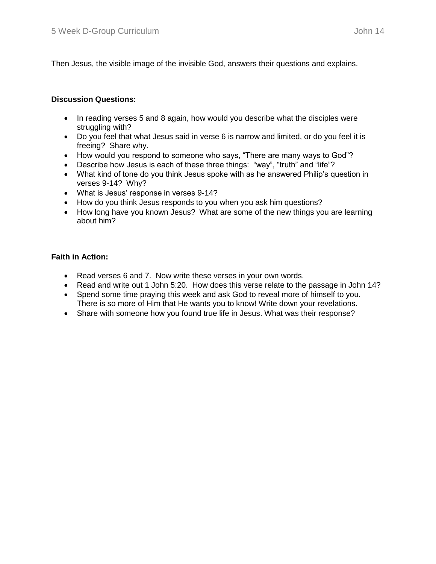Then Jesus, the visible image of the invisible God, answers their questions and explains.

## **Discussion Questions:**

- In reading verses 5 and 8 again, how would you describe what the disciples were struggling with?
- Do you feel that what Jesus said in verse 6 is narrow and limited, or do you feel it is freeing? Share why.
- How would you respond to someone who says, "There are many ways to God"?
- Describe how Jesus is each of these three things: "way", "truth" and "life"?
- What kind of tone do you think Jesus spoke with as he answered Philip's question in verses 9-14? Why?
- What is Jesus' response in verses 9-14?
- How do you think Jesus responds to you when you ask him questions?
- How long have you known Jesus? What are some of the new things you are learning about him?

## **Faith in Action:**

- Read verses 6 and 7. Now write these verses in your own words.
- Read and write out 1 John 5:20. How does this verse relate to the passage in John 14?
- Spend some time praying this week and ask God to reveal more of himself to you. There is so more of Him that He wants you to know! Write down your revelations.
- Share with someone how you found true life in Jesus. What was their response?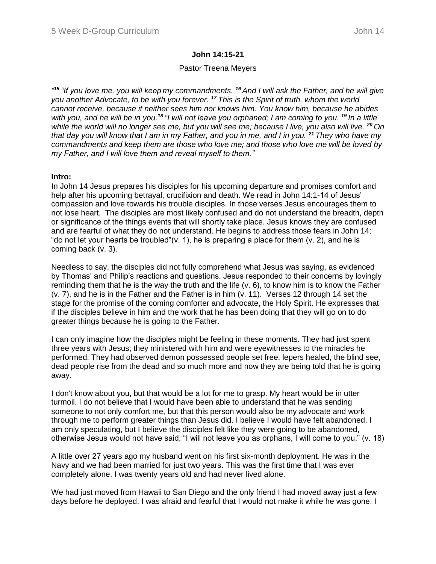## **John 14:15-21**

## Pastor Treena Meyers

*" <sup>15</sup> "If you love me, you will keep my commandments. <sup>16</sup> And I will ask the Father, and he will give you another Advocate, to be with you forever. <sup>17</sup> This is the Spirit of truth, whom the world cannot receive, because it neither sees him nor knows him. You know him, because he abides with you, and he will be in you.<sup>18</sup> "I will not leave you orphaned; I am coming to you. <sup>19</sup> In a little while the world will no longer see me, but you will see me; because I live, you also will live. <sup>20</sup> On that day you will know that I am in my Father, and you in me, and I in you. <sup>21</sup> They who have my commandments and keep them are those who love me; and those who love me will be loved by my Father, and I will love them and reveal myself to them."*

### **Intro:**

In John 14 Jesus prepares his disciples for his upcoming departure and promises comfort and help after his upcoming betrayal, crucifixion and death. We read in John 14:1-14 of Jesus' compassion and love towards his trouble disciples. In those verses Jesus encourages them to not lose heart. The disciples are most likely confused and do not understand the breadth, depth or significance of the things events that will shortly take place. Jesus knows they are confused and are fearful of what they do not understand. He begins to address those fears in John 14; "do not let your hearts be troubled"( $v$ . 1), he is preparing a place for them ( $v$ . 2), and he is coming back (v. 3).

Needless to say, the disciples did not fully comprehend what Jesus was saying, as evidenced by Thomas' and Philip's reactions and questions. Jesus responded to their concerns by lovingly reminding them that he is the way the truth and the life (v. 6), to know him is to know the Father (v. 7), and he is in the Father and the Father is in him (v. 11). Verses 12 through 14 set the stage for the promise of the coming comforter and advocate, the Holy Spirit. He expresses that if the disciples believe in him and the work that he has been doing that they will go on to do greater things because he is going to the Father.

I can only imagine how the disciples might be feeling in these moments. They had just spent three years with Jesus; they ministered with him and were eyewitnesses to the miracles he performed. They had observed demon possessed people set free, lepers healed, the blind see, dead people rise from the dead and so much more and now they are being told that he is going away.

I don't know about you, but that would be a lot for me to grasp. My heart would be in utter turmoil. I do not believe that I would have been able to understand that he was sending someone to not only comfort me, but that this person would also be my advocate and work through me to perform greater things than Jesus did. I believe I would have felt abandoned. I am only speculating, but I believe the disciples felt like they were going to be abandoned, otherwise Jesus would not have said, "I will not leave you as orphans, I will come to you." (v. 18)

A little over 27 years ago my husband went on his first six-month deployment. He was in the Navy and we had been married for just two years. This was the first time that I was ever completely alone. I was twenty years old and had never lived alone.

We had just moved from Hawaii to San Diego and the only friend I had moved away just a few days before he deployed. I was afraid and fearful that I would not make it while he was gone. I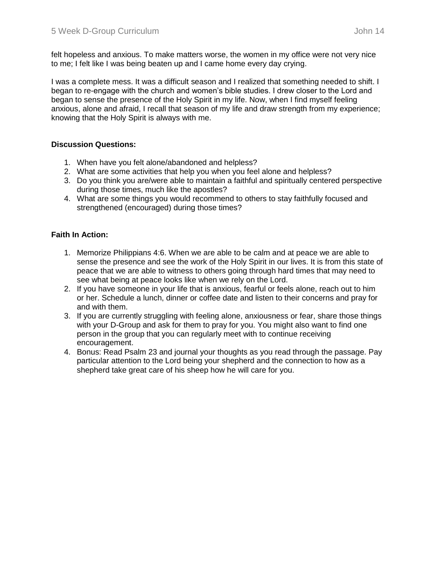felt hopeless and anxious. To make matters worse, the women in my office were not very nice to me; I felt like I was being beaten up and I came home every day crying.

I was a complete mess. It was a difficult season and I realized that something needed to shift. I began to re-engage with the church and women's bible studies. I drew closer to the Lord and began to sense the presence of the Holy Spirit in my life. Now, when I find myself feeling anxious, alone and afraid, I recall that season of my life and draw strength from my experience; knowing that the Holy Spirit is always with me.

## **Discussion Questions:**

- 1. When have you felt alone/abandoned and helpless?
- 2. What are some activities that help you when you feel alone and helpless?
- 3. Do you think you are/were able to maintain a faithful and spiritually centered perspective during those times, much like the apostles?
- 4. What are some things you would recommend to others to stay faithfully focused and strengthened (encouraged) during those times?

## **Faith In Action:**

- 1. Memorize Philippians 4:6. When we are able to be calm and at peace we are able to sense the presence and see the work of the Holy Spirit in our lives. It is from this state of peace that we are able to witness to others going through hard times that may need to see what being at peace looks like when we rely on the Lord.
- 2. If you have someone in your life that is anxious, fearful or feels alone, reach out to him or her. Schedule a lunch, dinner or coffee date and listen to their concerns and pray for and with them.
- 3. If you are currently struggling with feeling alone, anxiousness or fear, share those things with your D-Group and ask for them to pray for you. You might also want to find one person in the group that you can regularly meet with to continue receiving encouragement.
- 4. Bonus: Read Psalm 23 and journal your thoughts as you read through the passage. Pay particular attention to the Lord being your shepherd and the connection to how as a shepherd take great care of his sheep how he will care for you.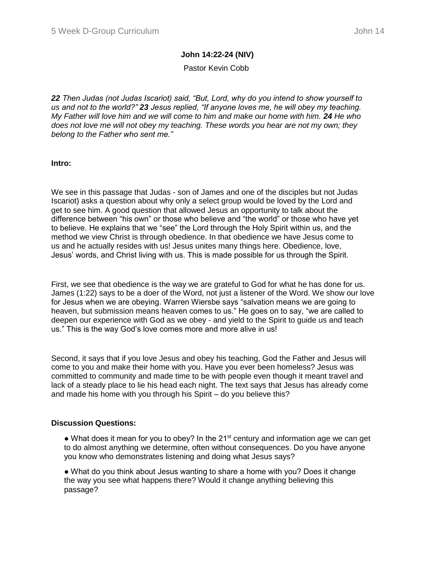## **John 14:22-24 (NIV)**

### Pastor Kevin Cobb

*22 Then Judas (not Judas Iscariot) said, "But, Lord, why do you intend to show yourself to us and not to the world?" 23 Jesus replied, "If anyone loves me, he will obey my teaching. My Father will love him and we will come to him and make our home with him.* 24 *He who does not love me will not obey my teaching. These words you hear are not my own; they belong to the Father who sent me."*

**Intro:**

We see in this passage that Judas - son of James and one of the disciples but not Judas Iscariot) asks a question about why only a select group would be loved by the Lord and get to see him. A good question that allowed Jesus an opportunity to talk about the difference between "his own" or those who believe and "the world" or those who have yet to believe. He explains that we "see" the Lord through the Holy Spirit within us, and the method we view Christ is through obedience. In that obedience we have Jesus come to us and he actually resides with us! Jesus unites many things here. Obedience, love, Jesus' words, and Christ living with us. This is made possible for us through the Spirit.

First, we see that obedience is the way we are grateful to God for what he has done for us. James (1:22) says to be a doer of the Word, not just a listener of the Word. We show our love for Jesus when we are obeying. Warren Wiersbe says "salvation means we are going to heaven, but submission means heaven comes to us." He goes on to say, "we are called to deepen our experience with God as we obey - and yield to the Spirit to guide us and teach us." This is the way God's love comes more and more alive in us!

Second, it says that if you love Jesus and obey his teaching, God the Father and Jesus will come to you and make their home with you. Have you ever been homeless? Jesus was committed to community and made time to be with people even though it meant travel and lack of a steady place to lie his head each night. The text says that Jesus has already come and made his home with you through his Spirit – do you believe this?

### **Discussion Questions:**

• What does it mean for you to obey? In the 21<sup>st</sup> century and information age we can get to do almost anything we determine, often without consequences. Do you have anyone you know who demonstrates listening and doing what Jesus says?

● What do you think about Jesus wanting to share a home with you? Does it change the way you see what happens there? Would it change anything believing this passage?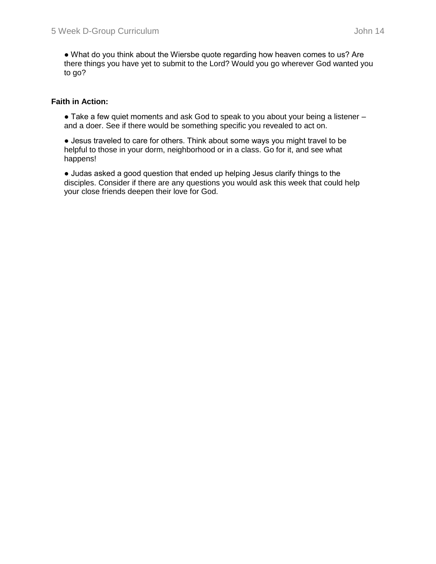● What do you think about the Wiersbe quote regarding how heaven comes to us? Are there things you have yet to submit to the Lord? Would you go wherever God wanted you to go?

## **Faith in Action:**

• Take a few quiet moments and ask God to speak to you about your being a listener – and a doer. See if there would be something specific you revealed to act on.

● Jesus traveled to care for others. Think about some ways you might travel to be helpful to those in your dorm, neighborhood or in a class. Go for it, and see what happens!

● Judas asked a good question that ended up helping Jesus clarify things to the disciples. Consider if there are any questions you would ask this week that could help your close friends deepen their love for God.